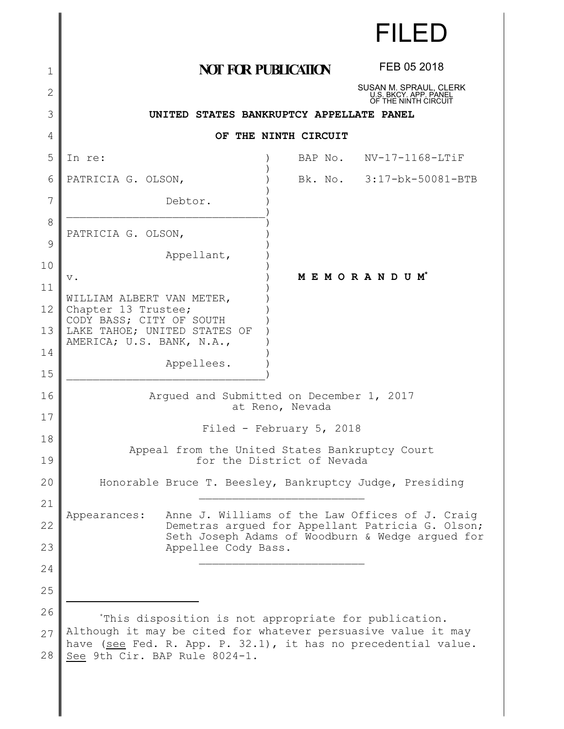|                | <b>FILED</b>                                                                                                        |  |
|----------------|---------------------------------------------------------------------------------------------------------------------|--|
| 1              | FEB 05 2018<br><b>NOT FOR PUBLICATION</b>                                                                           |  |
| $\overline{2}$ | SUSAN M. SPRAUL, CLERK<br>U.S. BKCY. APP. PANEL<br>OF THE NINTH CIRCUIT                                             |  |
| 3              | UNITED STATES BANKRUPTCY APPELLATE PANEL                                                                            |  |
| 4              | OF THE NINTH CIRCUIT                                                                                                |  |
| 5              | NV-17-1168-LTiF<br>In re:<br>BAP No.                                                                                |  |
| 6              | Bk. No. 3:17-bk-50081-BTB<br>PATRICIA G. OLSON,                                                                     |  |
| 7              | Debtor.                                                                                                             |  |
| $\,8\,$        |                                                                                                                     |  |
| 9              | PATRICIA G. OLSON,                                                                                                  |  |
| 10             | Appellant,                                                                                                          |  |
| 11             | MEMORANDUM*<br>$\mathbf v$ .                                                                                        |  |
| 12             | WILLIAM ALBERT VAN METER,<br>Chapter 13 Trustee;<br>CODY BASS; CITY OF SOUTH                                        |  |
| 13             | LAKE TAHOE; UNITED STATES OF<br>AMERICA; U.S. BANK, N.A.,                                                           |  |
| 14             | Appellees.                                                                                                          |  |
| 15             |                                                                                                                     |  |
| 16             | Argued and Submitted on December 1, 2017<br>at Reno, Nevada                                                         |  |
| 17             | Filed - February 5, 2018                                                                                            |  |
| 18             | Appeal from the United States Bankruptcy Court                                                                      |  |
| 19             | for the District of Nevada                                                                                          |  |
| 20             | Honorable Bruce T. Beesley, Bankruptcy Judge, Presiding                                                             |  |
| 21             |                                                                                                                     |  |
| 22             | Anne J. Williams of the Law Offices of J. Craig<br>Appearances:<br>Demetras argued for Appellant Patricia G. Olson; |  |
| 23             | Seth Joseph Adams of Woodburn & Wedge argued for<br>Appellee Cody Bass.                                             |  |
| 24             |                                                                                                                     |  |
| 25             |                                                                                                                     |  |
| 26             | *This disposition is not appropriate for publication.                                                               |  |
| 27             | Although it may be cited for whatever persuasive value it may                                                       |  |
| 28             | have (see Fed. R. App. P. 32.1), it has no precedential value.<br>See 9th Cir. BAP Rule 8024-1.                     |  |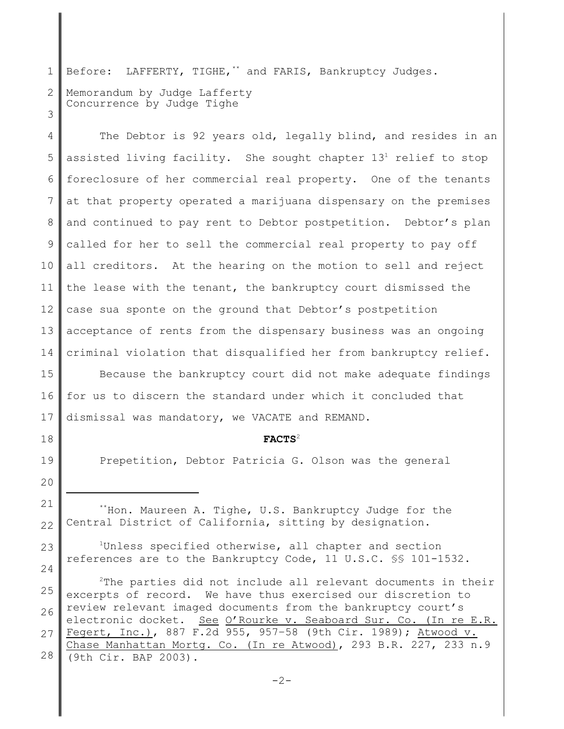1 2 3 Before: LAFFERTY, TIGHE,\*\* and FARIS, Bankruptcy Judges. Memorandum by Judge Lafferty Concurrence by Judge Tighe

4 5 6 7 8 9 10 11 12 13 14 The Debtor is 92 years old, legally blind, and resides in an assisted living facility. She sought chapter  $13<sup>1</sup>$  relief to stop foreclosure of her commercial real property. One of the tenants at that property operated a marijuana dispensary on the premises and continued to pay rent to Debtor postpetition. Debtor's plan called for her to sell the commercial real property to pay off all creditors. At the hearing on the motion to sell and reject the lease with the tenant, the bankruptcy court dismissed the case sua sponte on the ground that Debtor's postpetition acceptance of rents from the dispensary business was an ongoing criminal violation that disqualified her from bankruptcy relief.

15 16 17 Because the bankruptcy court did not make adequate findings for us to discern the standard under which it concluded that dismissal was mandatory, we VACATE and REMAND.

## **FACTS**<sup>2</sup>

Prepetition, Debtor Patricia G. Olson was the general

21 22 \*\*Hon. Maureen A. Tighe, U.S. Bankruptcy Judge for the Central District of California, sitting by designation.

18

19

20

23

24

<sup>1</sup>Unless specified otherwise, all chapter and section references are to the Bankruptcy Code, 11 U.S.C. §§ 101-1532.

25 26 27 28  $2$ The parties did not include all relevant documents in their excerpts of record. We have thus exercised our discretion to review relevant imaged documents from the bankruptcy court's electronic docket. See O'Rourke v. Seaboard Sur. Co. (In re E.R. Fegert, Inc.), 887 F.2d 955, 957–58 (9th Cir. 1989); Atwood v. Chase Manhattan Mortg. Co. (In re Atwood), 293 B.R. 227, 233 n.9 (9th Cir. BAP 2003).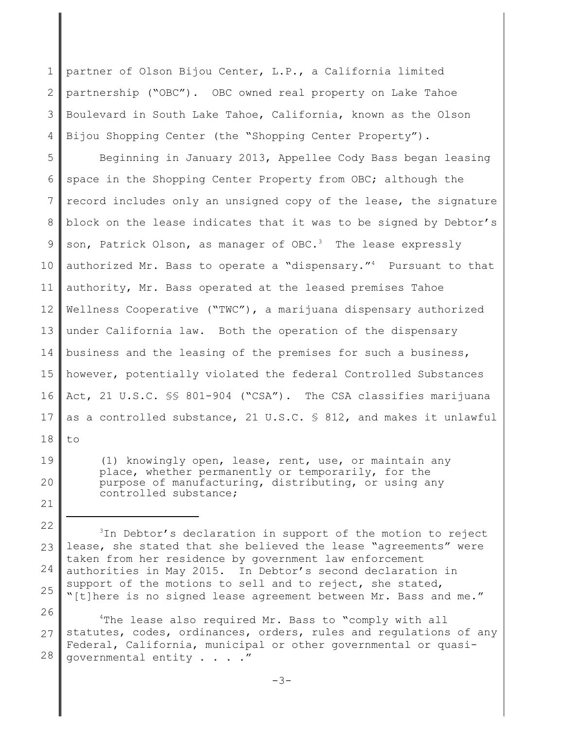1 2 3 4 partner of Olson Bijou Center, L.P., a California limited partnership ("OBC"). OBC owned real property on Lake Tahoe Boulevard in South Lake Tahoe, California, known as the Olson Bijou Shopping Center (the "Shopping Center Property").

5 6 7 8 9 10 11 12 13 14 15 16 17 18 Beginning in January 2013, Appellee Cody Bass began leasing space in the Shopping Center Property from OBC; although the record includes only an unsigned copy of the lease, the signature block on the lease indicates that it was to be signed by Debtor's son, Patrick Olson, as manager of  $OBC.3$  The lease expressly authorized Mr. Bass to operate a "dispensary."<sup>4</sup> Pursuant to that authority, Mr. Bass operated at the leased premises Tahoe Wellness Cooperative ("TWC"), a marijuana dispensary authorized under California law. Both the operation of the dispensary business and the leasing of the premises for such a business, however, potentially violated the federal Controlled Substances Act, 21 U.S.C. §§ 801-904 ("CSA"). The CSA classifies marijuana as a controlled substance, 21 U.S.C.  $\frac{6}{5}$  812, and makes it unlawful to

- 
- 19 20

21

(1) knowingly open, lease, rent, use, or maintain any place, whether permanently or temporarily, for the purpose of manufacturing, distributing, or using any controlled substance;

26 27 28 <sup>4</sup>The lease also required Mr. Bass to "comply with all statutes, codes, ordinances, orders, rules and regulations of any Federal, California, municipal or other governmental or quasigovernmental entity . . . ."

<sup>22</sup> 23 24 25 <sup>3</sup>In Debtor's declaration in support of the motion to reject lease, she stated that she believed the lease "agreements" were taken from her residence by government law enforcement authorities in May 2015. In Debtor's second declaration in support of the motions to sell and to reject, she stated, "[t]here is no signed lease agreement between Mr. Bass and me."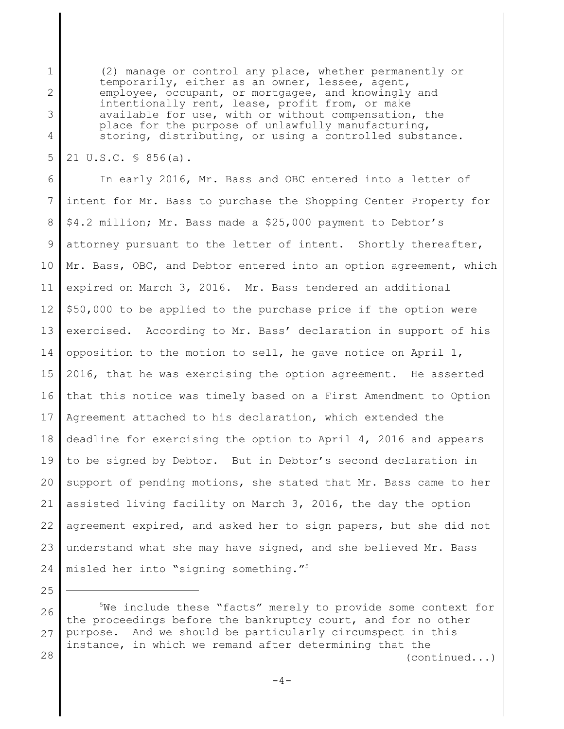(2) manage or control any place, whether permanently or temporarily, either as an owner, lessee, agent, employee, occupant, or mortgagee, and knowingly and intentionally rent, lease, profit from, or make available for use, with or without compensation, the place for the purpose of unlawfully manufacturing, storing, distributing, or using a controlled substance.

5 21 U.S.C. § 856(a).

1

2

3

4

6 7 8 9 10 11 12 13 14 15 16 17 18 19 20 21 22 23 24 In early 2016, Mr. Bass and OBC entered into a letter of intent for Mr. Bass to purchase the Shopping Center Property for \$4.2 million; Mr. Bass made a \$25,000 payment to Debtor's attorney pursuant to the letter of intent. Shortly thereafter, Mr. Bass, OBC, and Debtor entered into an option agreement, which expired on March 3, 2016. Mr. Bass tendered an additional \$50,000 to be applied to the purchase price if the option were exercised. According to Mr. Bass' declaration in support of his opposition to the motion to sell, he gave notice on April 1, 2016, that he was exercising the option agreement. He asserted that this notice was timely based on a First Amendment to Option Agreement attached to his declaration, which extended the deadline for exercising the option to April 4, 2016 and appears to be signed by Debtor. But in Debtor's second declaration in support of pending motions, she stated that Mr. Bass came to her assisted living facility on March 3, 2016, the day the option agreement expired, and asked her to sign papers, but she did not understand what she may have signed, and she believed Mr. Bass misled her into "signing something."<sup>5</sup>

<sup>26</sup> 27 28 <sup>5</sup>We include these "facts" merely to provide some context for the proceedings before the bankruptcy court, and for no other purpose. And we should be particularly circumspect in this instance, in which we remand after determining that the (continued...)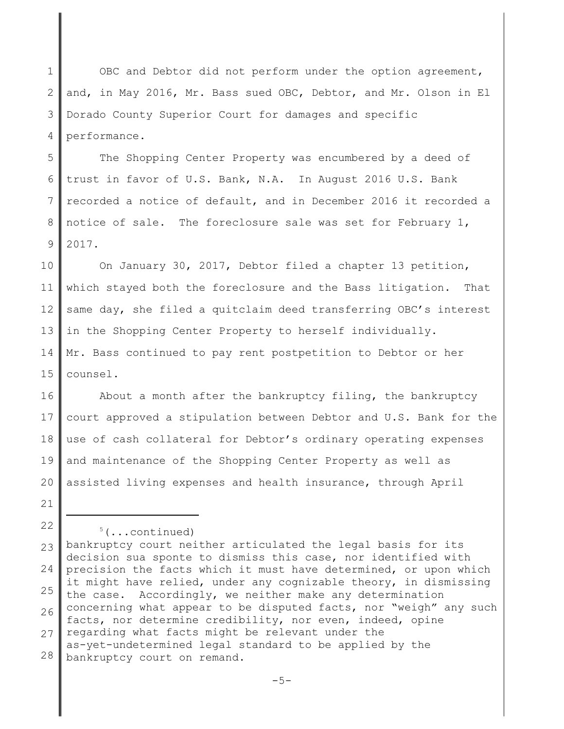1 2 3 4 OBC and Debtor did not perform under the option agreement, and, in May 2016, Mr. Bass sued OBC, Debtor, and Mr. Olson in El Dorado County Superior Court for damages and specific performance.

5 6 7 8 9 The Shopping Center Property was encumbered by a deed of trust in favor of U.S. Bank, N.A. In August 2016 U.S. Bank recorded a notice of default, and in December 2016 it recorded a notice of sale. The foreclosure sale was set for February 1, 2017.

10 11 12 13 14 15 On January 30, 2017, Debtor filed a chapter 13 petition, which stayed both the foreclosure and the Bass litigation. That same day, she filed a quitclaim deed transferring OBC's interest in the Shopping Center Property to herself individually. Mr. Bass continued to pay rent postpetition to Debtor or her counsel.

16 17 18 19 20 About a month after the bankruptcy filing, the bankruptcy court approved a stipulation between Debtor and U.S. Bank for the use of cash collateral for Debtor's ordinary operating expenses and maintenance of the Shopping Center Property as well as assisted living expenses and health insurance, through April

21

 $5($ ...continued)

<sup>23</sup> 24 25 26 27 28 bankruptcy court neither articulated the legal basis for its decision sua sponte to dismiss this case, nor identified with precision the facts which it must have determined, or upon which it might have relied, under any cognizable theory, in dismissing the case. Accordingly, we neither make any determination concerning what appear to be disputed facts, nor "weigh" any such facts, nor determine credibility, nor even, indeed, opine regarding what facts might be relevant under the as-yet-undetermined legal standard to be applied by the bankruptcy court on remand.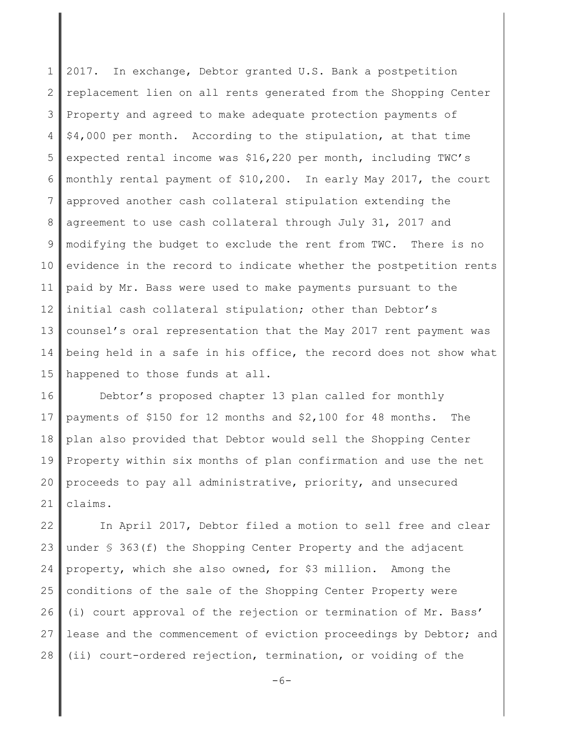1 2 3 4 5 6 7 8 9 10 11 12 13 14 15 2017. In exchange, Debtor granted U.S. Bank a postpetition replacement lien on all rents generated from the Shopping Center Property and agreed to make adequate protection payments of \$4,000 per month. According to the stipulation, at that time expected rental income was \$16,220 per month, including TWC's monthly rental payment of \$10,200. In early May 2017, the court approved another cash collateral stipulation extending the agreement to use cash collateral through July 31, 2017 and modifying the budget to exclude the rent from TWC. There is no evidence in the record to indicate whether the postpetition rents paid by Mr. Bass were used to make payments pursuant to the initial cash collateral stipulation; other than Debtor's counsel's oral representation that the May 2017 rent payment was being held in a safe in his office, the record does not show what happened to those funds at all.

16 17 18 19 20 21 Debtor's proposed chapter 13 plan called for monthly payments of \$150 for 12 months and \$2,100 for 48 months. The plan also provided that Debtor would sell the Shopping Center Property within six months of plan confirmation and use the net proceeds to pay all administrative, priority, and unsecured claims.

22 23 24 25 26 27 28 In April 2017, Debtor filed a motion to sell free and clear under § 363(f) the Shopping Center Property and the adjacent property, which she also owned, for \$3 million. Among the conditions of the sale of the Shopping Center Property were (i) court approval of the rejection or termination of Mr. Bass' lease and the commencement of eviction proceedings by Debtor; and (ii) court-ordered rejection, termination, or voiding of the

 $-6-$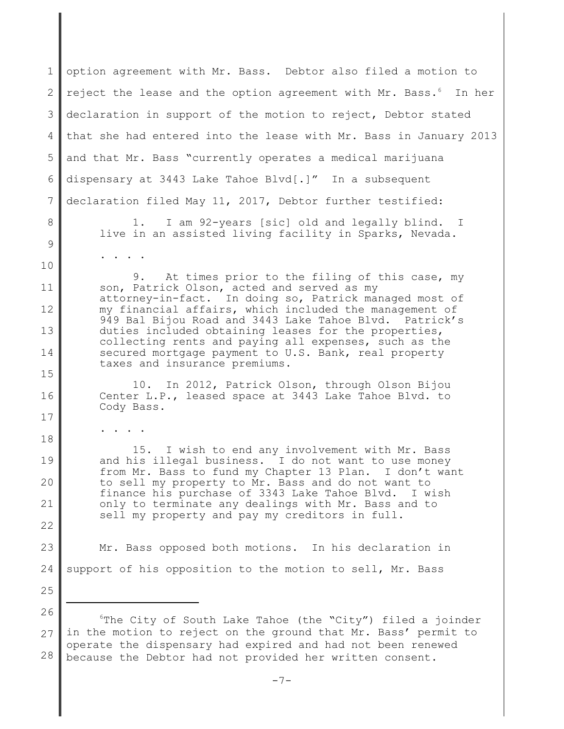1 2 3 4 5 6 7 8 9 10 11 12 13 14 15 16 17 18 19 20 21 22 23 24 25 26 27 28 option agreement with Mr. Bass. Debtor also filed a motion to reject the lease and the option agreement with Mr. Bass.<sup>6</sup> In her declaration in support of the motion to reject, Debtor stated that she had entered into the lease with Mr. Bass in January 2013 and that Mr. Bass "currently operates a medical marijuana dispensary at 3443 Lake Tahoe Blvd[.]" In a subsequent declaration filed May 11, 2017, Debtor further testified: 1. I am 92-years [sic] old and legally blind. I live in an assisted living facility in Sparks, Nevada. . . . . 9. At times prior to the filing of this case, my son, Patrick Olson, acted and served as my attorney-in-fact. In doing so, Patrick managed most of my financial affairs, which included the management of 949 Bal Bijou Road and 3443 Lake Tahoe Blvd. Patrick's duties included obtaining leases for the properties, collecting rents and paying all expenses, such as the secured mortgage payment to U.S. Bank, real property taxes and insurance premiums. 10. In 2012, Patrick Olson, through Olson Bijou Center L.P., leased space at 3443 Lake Tahoe Blvd. to Cody Bass. . . . . 15. I wish to end any involvement with Mr. Bass and his illegal business. I do not want to use money from Mr. Bass to fund my Chapter 13 Plan. I don't want to sell my property to Mr. Bass and do not want to finance his purchase of 3343 Lake Tahoe Blvd. I wish only to terminate any dealings with Mr. Bass and to sell my property and pay my creditors in full. Mr. Bass opposed both motions. In his declaration in support of his opposition to the motion to sell, Mr. Bass <sup>6</sup>The City of South Lake Tahoe (the "City") filed a joinder in the motion to reject on the ground that Mr. Bass' permit to operate the dispensary had expired and had not been renewed because the Debtor had not provided her written consent.

 $-7-$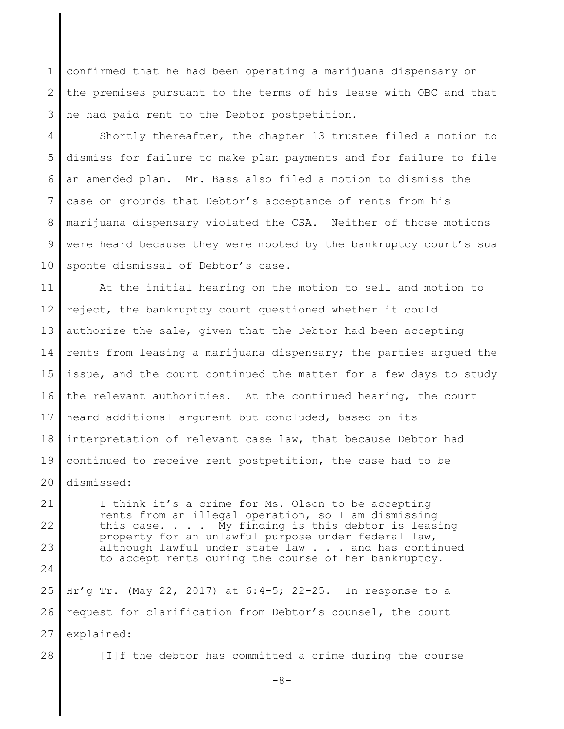1 2 3 confirmed that he had been operating a marijuana dispensary on the premises pursuant to the terms of his lease with OBC and that he had paid rent to the Debtor postpetition.

4 5 6 7 8 9 10 Shortly thereafter, the chapter 13 trustee filed a motion to dismiss for failure to make plan payments and for failure to file an amended plan. Mr. Bass also filed a motion to dismiss the case on grounds that Debtor's acceptance of rents from his marijuana dispensary violated the CSA. Neither of those motions were heard because they were mooted by the bankruptcy court's sua sponte dismissal of Debtor's case.

11 12 13 14 15 16 17 18 19 20 At the initial hearing on the motion to sell and motion to reject, the bankruptcy court questioned whether it could authorize the sale, given that the Debtor had been accepting rents from leasing a marijuana dispensary; the parties argued the issue, and the court continued the matter for a few days to study the relevant authorities. At the continued hearing, the court heard additional argument but concluded, based on its interpretation of relevant case law, that because Debtor had continued to receive rent postpetition, the case had to be dismissed:

21 22 23 24 25 26 I think it's a crime for Ms. Olson to be accepting rents from an illegal operation, so I am dismissing this case. . . . My finding is this debtor is leasing property for an unlawful purpose under federal law, although lawful under state law . . . and has continued to accept rents during the course of her bankruptcy. Hr'g Tr. (May 22, 2017) at 6:4-5; 22-25. In response to a request for clarification from Debtor's counsel, the court

- 27 explained:
- 28

[I]f the debtor has committed a crime during the course

 $-8-$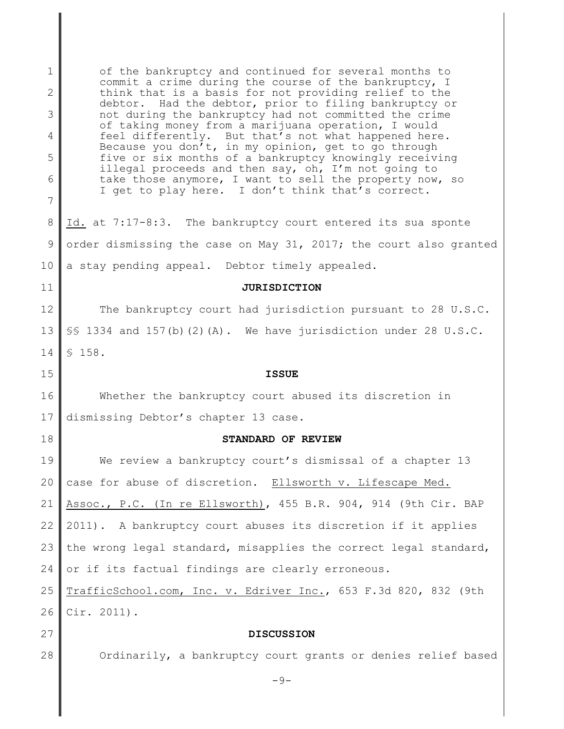1 2 3 4 5 6 7 8 9 10 11 12 13 14 15 16 17 18 19 20 21 22 23 24 25 26 27 28 of the bankruptcy and continued for several months to commit a crime during the course of the bankruptcy, I think that is a basis for not providing relief to the debtor. Had the debtor, prior to filing bankruptcy or not during the bankruptcy had not committed the crime of taking money from a marijuana operation, I would feel differently. But that's not what happened here. Because you don't, in my opinion, get to go through five or six months of a bankruptcy knowingly receiving illegal proceeds and then say, oh, I'm not going to take those anymore, I want to sell the property now, so I get to play here. I don't think that's correct. Id. at 7:17-8:3. The bankruptcy court entered its sua sponte order dismissing the case on May 31, 2017; the court also granted a stay pending appeal. Debtor timely appealed. **JURISDICTION** The bankruptcy court had jurisdiction pursuant to 28 U.S.C. §§ 1334 and 157(b)(2)(A). We have jurisdiction under 28 U.S.C. § 158. **ISSUE** Whether the bankruptcy court abused its discretion in dismissing Debtor's chapter 13 case. **STANDARD OF REVIEW** We review a bankruptcy court's dismissal of a chapter 13 case for abuse of discretion. Ellsworth v. Lifescape Med. Assoc., P.C. (In re Ellsworth), 455 B.R. 904, 914 (9th Cir. BAP 2011). A bankruptcy court abuses its discretion if it applies the wrong legal standard, misapplies the correct legal standard, or if its factual findings are clearly erroneous. TrafficSchool.com, Inc. v. Edriver Inc., 653 F.3d 820, 832 (9th Cir. 2011). **DISCUSSION** Ordinarily, a bankruptcy court grants or denies relief based  $-9-$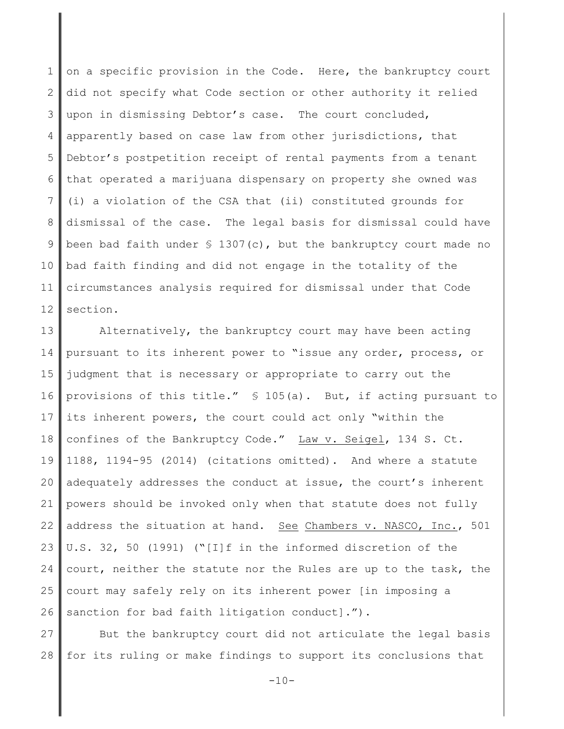1 2 3 4 5 6 7 8 9 10 11 12 on a specific provision in the Code. Here, the bankruptcy court did not specify what Code section or other authority it relied upon in dismissing Debtor's case. The court concluded, apparently based on case law from other jurisdictions, that Debtor's postpetition receipt of rental payments from a tenant that operated a marijuana dispensary on property she owned was (i) a violation of the CSA that (ii) constituted grounds for dismissal of the case. The legal basis for dismissal could have been bad faith under  $\frac{1307(c)}{c}$ , but the bankruptcy court made no bad faith finding and did not engage in the totality of the circumstances analysis required for dismissal under that Code section.

13 14 15 16 17 18 19 20 21 22 23 24 25 26 Alternatively, the bankruptcy court may have been acting pursuant to its inherent power to "issue any order, process, or judgment that is necessary or appropriate to carry out the provisions of this title." § 105(a). But, if acting pursuant to its inherent powers, the court could act only "within the confines of the Bankruptcy Code." Law v. Seigel, 134 S. Ct. 1188, 1194-95 (2014) (citations omitted). And where a statute adequately addresses the conduct at issue, the court's inherent powers should be invoked only when that statute does not fully address the situation at hand. See Chambers v. NASCO, Inc., 501 U.S. 32, 50 (1991) ("[I]f in the informed discretion of the court, neither the statute nor the Rules are up to the task, the court may safely rely on its inherent power [in imposing a sanction for bad faith litigation conduct].").

27 28 But the bankruptcy court did not articulate the legal basis for its ruling or make findings to support its conclusions that

 $-10-$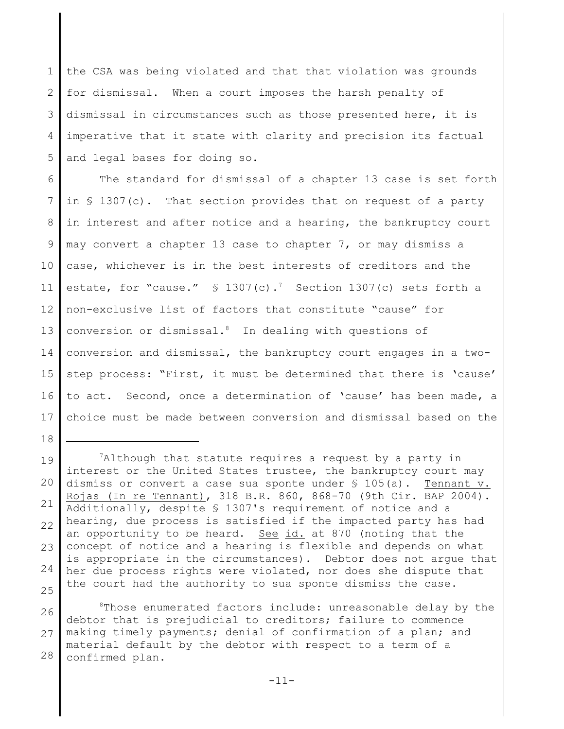1 2 3 4 5 the CSA was being violated and that that violation was grounds for dismissal. When a court imposes the harsh penalty of dismissal in circumstances such as those presented here, it is imperative that it state with clarity and precision its factual and legal bases for doing so.

6 7 8 9 10 11 12 13 14 15 16 17 The standard for dismissal of a chapter 13 case is set forth in § 1307(c). That section provides that on request of a party in interest and after notice and a hearing, the bankruptcy court may convert a chapter 13 case to chapter 7, or may dismiss a case, whichever is in the best interests of creditors and the estate, for "cause."  $\text{\$ }1307(\text{c})$ . Section 1307(c) sets forth a non-exclusive list of factors that constitute "cause" for conversion or dismissal.<sup>8</sup> In dealing with questions of conversion and dismissal, the bankruptcy court engages in a twostep process: "First, it must be determined that there is 'cause' to act. Second, once a determination of 'cause' has been made, a choice must be made between conversion and dismissal based on the

19 20 21 22 23 24 25 <sup>7</sup>Although that statute requires a request by a party in interest or the United States trustee, the bankruptcy court may dismiss or convert a case sua sponte under § 105(a). Tennant v. Rojas (In re Tennant), 318 B.R. 860, 868-70 (9th Cir. BAP 2004). Additionally, despite § 1307's requirement of notice and a hearing, due process is satisfied if the impacted party has had an opportunity to be heard. See id. at 870 (noting that the concept of notice and a hearing is flexible and depends on what is appropriate in the circumstances). Debtor does not argue that her due process rights were violated, nor does she dispute that the court had the authority to sua sponte dismiss the case.

18

26 27 28  $8$ Those enumerated factors include: unreasonable delay by the debtor that is prejudicial to creditors; failure to commence making timely payments; denial of confirmation of a plan; and material default by the debtor with respect to a term of a confirmed plan.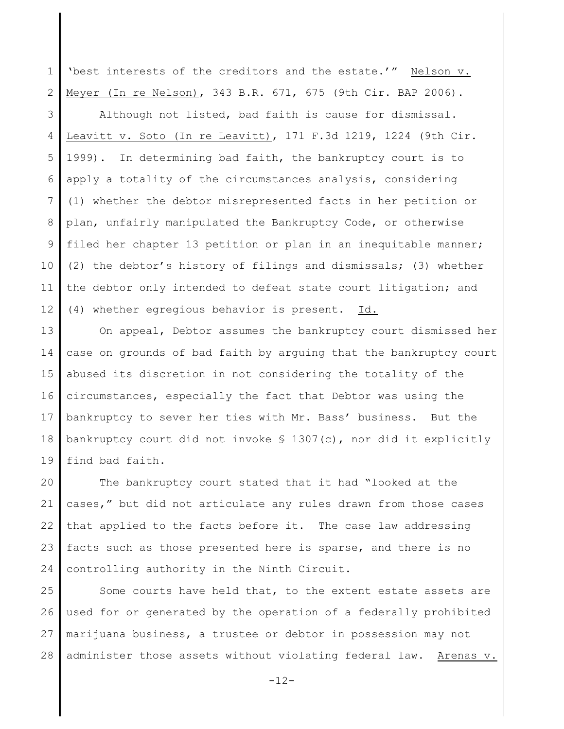1 2 'best interests of the creditors and the estate.'" Nelson v. Meyer (In re Nelson), 343 B.R. 671, 675 (9th Cir. BAP 2006).

3 4 5 6 7 8 9 10 11 12 Although not listed, bad faith is cause for dismissal. Leavitt v. Soto (In re Leavitt), 171 F.3d 1219, 1224 (9th Cir. 1999). In determining bad faith, the bankruptcy court is to apply a totality of the circumstances analysis, considering (1) whether the debtor misrepresented facts in her petition or plan, unfairly manipulated the Bankruptcy Code, or otherwise filed her chapter 13 petition or plan in an inequitable manner; (2) the debtor's history of filings and dismissals; (3) whether the debtor only intended to defeat state court litigation; and (4) whether egregious behavior is present. Id.

13 14 15 16 17 18 19 On appeal, Debtor assumes the bankruptcy court dismissed her case on grounds of bad faith by arguing that the bankruptcy court abused its discretion in not considering the totality of the circumstances, especially the fact that Debtor was using the bankruptcy to sever her ties with Mr. Bass' business. But the bankruptcy court did not invoke § 1307(c), nor did it explicitly find bad faith.

20 21 22 23 24 The bankruptcy court stated that it had "looked at the cases," but did not articulate any rules drawn from those cases that applied to the facts before it. The case law addressing facts such as those presented here is sparse, and there is no controlling authority in the Ninth Circuit.

25 26 27 28 Some courts have held that, to the extent estate assets are used for or generated by the operation of a federally prohibited marijuana business, a trustee or debtor in possession may not administer those assets without violating federal law. Arenas v.

 $-12-$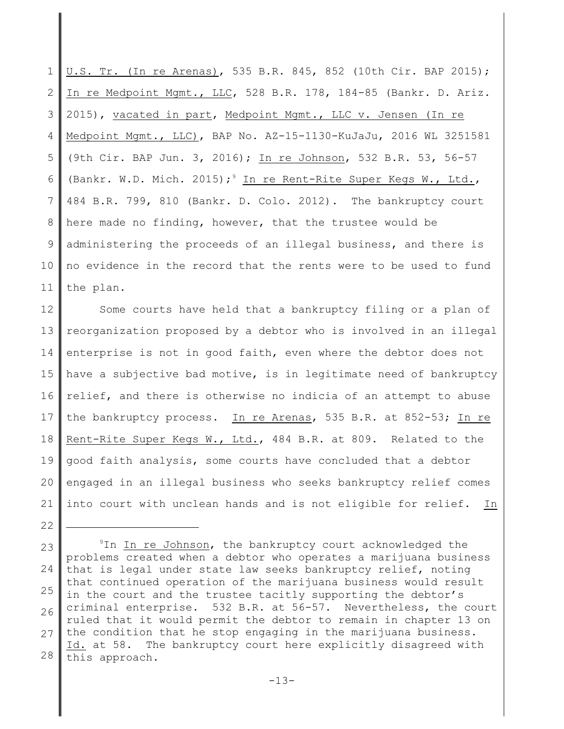1 2 3 4 5 6 7 8 9 10 11 U.S. Tr. (In re Arenas), 535 B.R. 845, 852 (10th Cir. BAP 2015); In re Medpoint Mgmt., LLC, 528 B.R. 178, 184-85 (Bankr. D. Ariz. 2015), vacated in part, Medpoint Mgmt., LLC v. Jensen (In re Medpoint Mgmt., LLC), BAP No. AZ-15-1130-KuJaJu, 2016 WL 3251581 (9th Cir. BAP Jun. 3, 2016); In re Johnson, 532 B.R. 53, 56-57 (Bankr. W.D. Mich. 2015);<sup>9</sup> In re Rent-Rite Super Kegs W., Ltd., 484 B.R. 799, 810 (Bankr. D. Colo. 2012). The bankruptcy court here made no finding, however, that the trustee would be administering the proceeds of an illegal business, and there is no evidence in the record that the rents were to be used to fund the plan.

12 13 14 15 16 17 18 19 20 21 Some courts have held that a bankruptcy filing or a plan of reorganization proposed by a debtor who is involved in an illegal enterprise is not in good faith, even where the debtor does not have a subjective bad motive, is in legitimate need of bankruptcy relief, and there is otherwise no indicia of an attempt to abuse the bankruptcy process. In re Arenas, 535 B.R. at 852-53; In re Rent-Rite Super Kegs W., Ltd., 484 B.R. at 809. Related to the good faith analysis, some courts have concluded that a debtor engaged in an illegal business who seeks bankruptcy relief comes into court with unclean hands and is not eligible for relief. In

<sup>23</sup> 24 25 26 27 28 <sup>9</sup>In In re Johnson, the bankruptcy court acknowledged the problems created when a debtor who operates a marijuana business that is legal under state law seeks bankruptcy relief, noting that continued operation of the marijuana business would result in the court and the trustee tacitly supporting the debtor's criminal enterprise. 532 B.R. at 56-57. Nevertheless, the court ruled that it would permit the debtor to remain in chapter 13 on the condition that he stop engaging in the marijuana business. Id. at 58. The bankruptcy court here explicitly disagreed with this approach.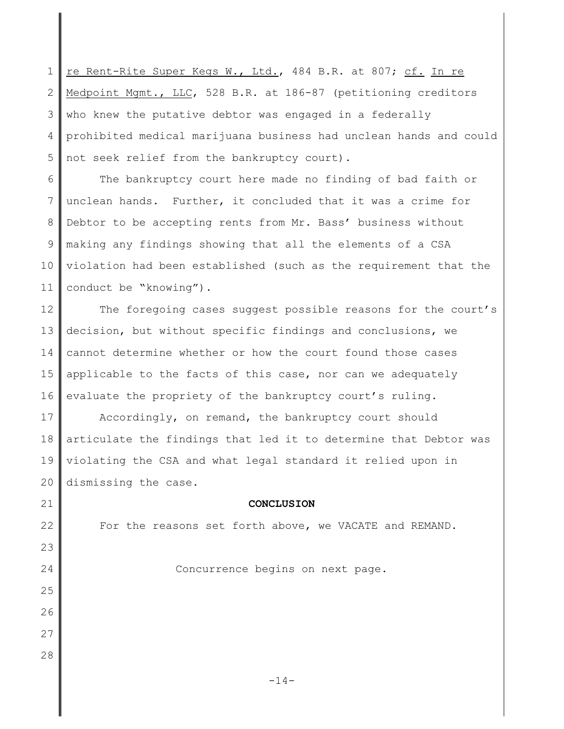1 2 3 4 5 re Rent-Rite Super Kegs W., Ltd., 484 B.R. at 807; cf. In re Medpoint Mgmt., LLC, 528 B.R. at 186-87 (petitioning creditors who knew the putative debtor was engaged in a federally prohibited medical marijuana business had unclean hands and could not seek relief from the bankruptcy court).

6 7 8 9 10 11 The bankruptcy court here made no finding of bad faith or unclean hands. Further, it concluded that it was a crime for Debtor to be accepting rents from Mr. Bass' business without making any findings showing that all the elements of a CSA violation had been established (such as the requirement that the conduct be "knowing").

12 13 14 15 16 The foregoing cases suggest possible reasons for the court's decision, but without specific findings and conclusions, we cannot determine whether or how the court found those cases applicable to the facts of this case, nor can we adequately evaluate the propriety of the bankruptcy court's ruling.

17 18 19 20 Accordingly, on remand, the bankruptcy court should articulate the findings that led it to determine that Debtor was violating the CSA and what legal standard it relied upon in dismissing the case.

21

22

23

24

25

26

27

28

## **CONCLUSION**

For the reasons set forth above, we VACATE and REMAND.

Concurrence begins on next page.

 $-14-$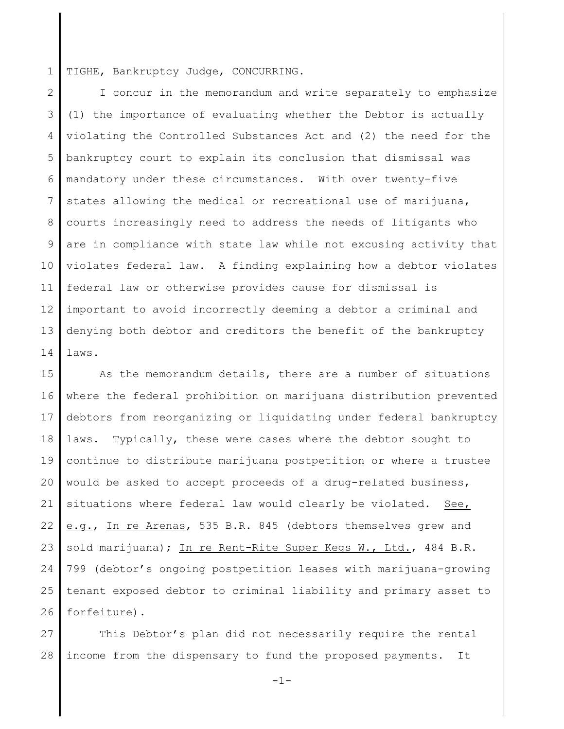1 TIGHE, Bankruptcy Judge, CONCURRING.

2 3 4 5 6 7 8 9 10 11 12 13 14 I concur in the memorandum and write separately to emphasize (1) the importance of evaluating whether the Debtor is actually violating the Controlled Substances Act and (2) the need for the bankruptcy court to explain its conclusion that dismissal was mandatory under these circumstances. With over twenty-five states allowing the medical or recreational use of marijuana, courts increasingly need to address the needs of litigants who are in compliance with state law while not excusing activity that violates federal law. A finding explaining how a debtor violates federal law or otherwise provides cause for dismissal is important to avoid incorrectly deeming a debtor a criminal and denying both debtor and creditors the benefit of the bankruptcy laws.

15 16 17 18 19 20 21 22 23 24 25 26 As the memorandum details, there are a number of situations where the federal prohibition on marijuana distribution prevented debtors from reorganizing or liquidating under federal bankruptcy laws. Typically, these were cases where the debtor sought to continue to distribute marijuana postpetition or where a trustee would be asked to accept proceeds of a drug-related business, situations where federal law would clearly be violated. See, e.g., In re Arenas, 535 B.R. 845 (debtors themselves grew and sold marijuana); In re Rent-Rite Super Kegs W., Ltd., 484 B.R. 799 (debtor's ongoing postpetition leases with marijuana-growing tenant exposed debtor to criminal liability and primary asset to forfeiture).

27 28 This Debtor's plan did not necessarily require the rental income from the dispensary to fund the proposed payments. It

-1-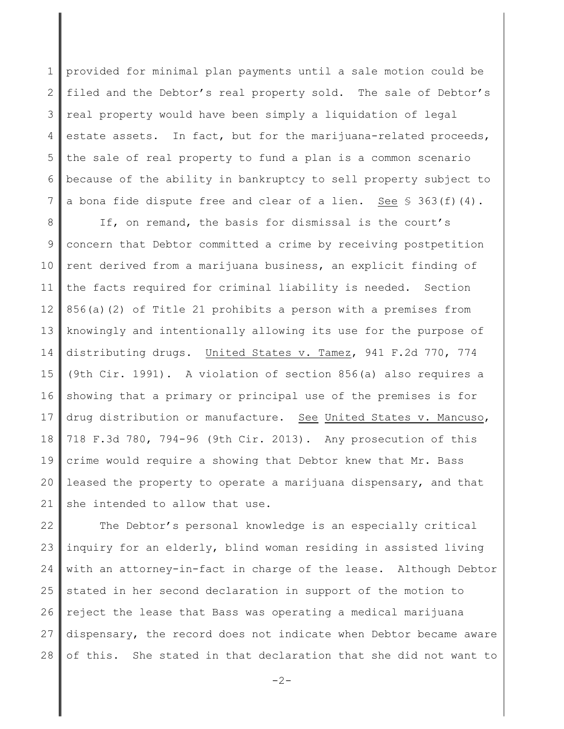1 2 3 4 5 6 7 provided for minimal plan payments until a sale motion could be filed and the Debtor's real property sold. The sale of Debtor's real property would have been simply a liquidation of legal estate assets. In fact, but for the marijuana-related proceeds, the sale of real property to fund a plan is a common scenario because of the ability in bankruptcy to sell property subject to a bona fide dispute free and clear of a lien. See  $\S$  363(f)(4).

8 9 10 11 12 13 14 15 16 17 18 19 20 21 If, on remand, the basis for dismissal is the court's concern that Debtor committed a crime by receiving postpetition rent derived from a marijuana business, an explicit finding of the facts required for criminal liability is needed. Section 856(a)(2) of Title 21 prohibits a person with a premises from knowingly and intentionally allowing its use for the purpose of distributing drugs. United States v. Tamez, 941 F.2d 770, 774 (9th Cir. 1991). A violation of section 856(a) also requires a showing that a primary or principal use of the premises is for drug distribution or manufacture. See United States v. Mancuso, 718 F.3d 780, 794-96 (9th Cir. 2013). Any prosecution of this crime would require a showing that Debtor knew that Mr. Bass leased the property to operate a marijuana dispensary, and that she intended to allow that use.

22 23 24 25 26 27 28 The Debtor's personal knowledge is an especially critical inquiry for an elderly, blind woman residing in assisted living with an attorney-in-fact in charge of the lease. Although Debtor stated in her second declaration in support of the motion to reject the lease that Bass was operating a medical marijuana dispensary, the record does not indicate when Debtor became aware of this. She stated in that declaration that she did not want to

 $-2-$